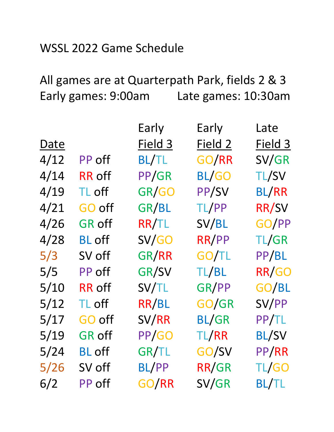## WSSL 2022 Game Schedule

## All games are at Quarterpath Park, fields 2 & 3 Early games: 9:00am Late games: 10:30am

|      |               | Early        | Early        | Late               |
|------|---------------|--------------|--------------|--------------------|
| Date |               | Field 3      | Field 2      | Field <sub>3</sub> |
| 4/12 | PP off        | <b>BL/TL</b> | GO/RR        | SV/GR              |
| 4/14 | <b>RR</b> off | PP/GR        | <b>BL/GO</b> | <b>TL/SV</b>       |
| 4/19 | TL off        | GR/GO        | PP/SV        | <b>BL/RR</b>       |
| 4/21 | <b>GO off</b> | GR/BL        | TL/PP        | RR/SV              |
| 4/26 | <b>GR off</b> | <b>RR/TL</b> | SV/BL        | GO/PP              |
| 4/28 | <b>BL</b> off | SV/GO        | RR/PP        | TL/GR              |
| 5/3  | SV off        | GR/RR        | GO/TL        | PP/BL              |
| 5/5  | PP off        | GR/SV        | TL/BL        | RR/GO              |
| 5/10 | <b>RR</b> off | SV/TL        | GR/PP        | GO/BL              |
| 5/12 | TL off        | RR/BL        | GO/GR        | SV/PP              |
| 5/17 | GO off        | SV/RR        | <b>BL/GR</b> | PP/TL              |
| 5/19 | <b>GR off</b> | PP/GO        | TL/RR        | <b>BL/SV</b>       |
| 5/24 | <b>BL</b> off | GR/TL        | GO/SV        | PP/RR              |
| 5/26 | SV off        | <b>BL/PP</b> | RR/GR        | TL/GO              |
| 6/2  | PP off        | GO/RR        | SV/GR        | <b>BL/TL</b>       |
|      |               |              |              |                    |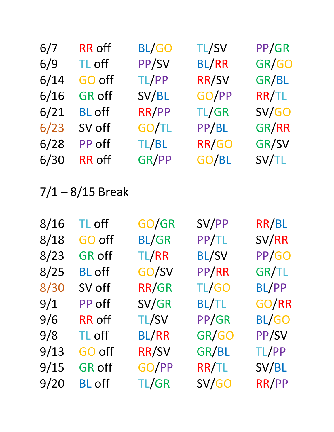| <b>RR</b> off | <b>BL/GO</b> | <b>TL/SV</b> | PP/GR |
|---------------|--------------|--------------|-------|
| TL off        | PP/SV        | <b>BL/RR</b> | GR/GO |
| GO off        | TL/PP        | RR/SV        | GR/BL |
| <b>GR off</b> | SV/BL        | GO/PP        | RR/TL |
| <b>BL</b> off | RR/PP        | TL/GR        | SV/GO |
| SV off        | GO/TL        | PP/BL        | GR/RR |
| PP off        | TL/BL        | RR/GO        | GR/SV |
| <b>RR</b> off | GR/PP        | GO/BL        | SV/TL |
|               |              |              |       |

7/1 – 8/15 Break

| TL off        | GO/GR        | SV/PP        | RR/BL        |
|---------------|--------------|--------------|--------------|
| GO off        | <b>BL/GR</b> | PP/TL        | SV/RR        |
| <b>GR off</b> | TL/RR        | <b>BL/SV</b> | PP/GO        |
| <b>BL</b> off | GO/SV        | PP/RR        | GR/TL        |
| SV off        | RR/GR        | TL/GO        | BL/PP        |
| PP off        | SV/GR        | <b>BL/TL</b> | GO/RR        |
| <b>RR</b> off | <b>TL/SV</b> | PP/GR        | <b>BL/GO</b> |
| TL off        | <b>BL/RR</b> | GR/GO        | PP/SV        |
| GO off        | <b>RR/SV</b> | GR/BL        | TL/PP        |
| <b>GR off</b> | GO/PP        | RR/TL        | SV/BL        |
| <b>BL</b> off | TL/GR        | SV/GO        | RR/PP        |
|               |              |              |              |